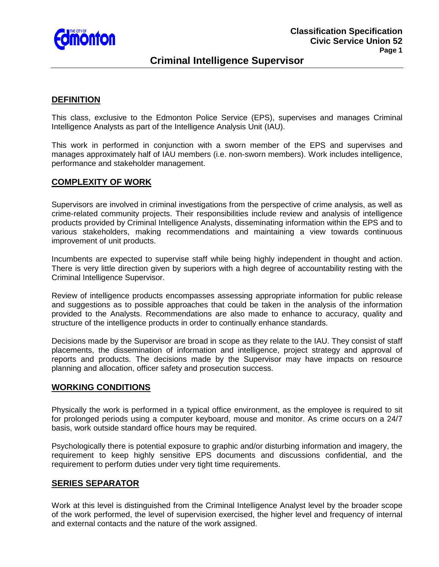

# **Criminal Intelligence Supervisor**

## **DEFINITION**

This class, exclusive to the Edmonton Police Service (EPS), supervises and manages Criminal Intelligence Analysts as part of the Intelligence Analysis Unit (IAU).

This work in performed in conjunction with a sworn member of the EPS and supervises and manages approximately half of IAU members (i.e. non-sworn members). Work includes intelligence, performance and stakeholder management.

### **COMPLEXITY OF WORK**

Supervisors are involved in criminal investigations from the perspective of crime analysis, as well as crime-related community projects. Their responsibilities include review and analysis of intelligence products provided by Criminal Intelligence Analysts, disseminating information within the EPS and to various stakeholders, making recommendations and maintaining a view towards continuous improvement of unit products.

Incumbents are expected to supervise staff while being highly independent in thought and action. There is very little direction given by superiors with a high degree of accountability resting with the Criminal Intelligence Supervisor.

Review of intelligence products encompasses assessing appropriate information for public release and suggestions as to possible approaches that could be taken in the analysis of the information provided to the Analysts. Recommendations are also made to enhance to accuracy, quality and structure of the intelligence products in order to continually enhance standards.

Decisions made by the Supervisor are broad in scope as they relate to the IAU. They consist of staff placements, the dissemination of information and intelligence, project strategy and approval of reports and products. The decisions made by the Supervisor may have impacts on resource planning and allocation, officer safety and prosecution success.

### **WORKING CONDITIONS**

Physically the work is performed in a typical office environment, as the employee is required to sit for prolonged periods using a computer keyboard, mouse and monitor. As crime occurs on a 24/7 basis, work outside standard office hours may be required.

Psychologically there is potential exposure to graphic and/or disturbing information and imagery, the requirement to keep highly sensitive EPS documents and discussions confidential, and the requirement to perform duties under very tight time requirements.

### **SERIES SEPARATOR**

Work at this level is distinguished from the Criminal Intelligence Analyst level by the broader scope of the work performed, the level of supervision exercised, the higher level and frequency of internal and external contacts and the nature of the work assigned.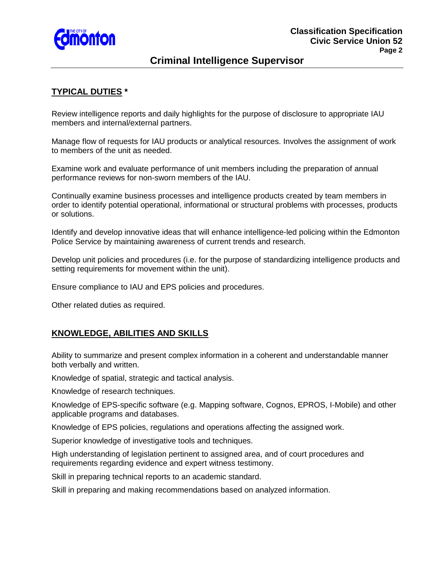

# **Criminal Intelligence Supervisor**

## **TYPICAL DUTIES \***

Review intelligence reports and daily highlights for the purpose of disclosure to appropriate IAU members and internal/external partners.

Manage flow of requests for IAU products or analytical resources. Involves the assignment of work to members of the unit as needed.

Examine work and evaluate performance of unit members including the preparation of annual performance reviews for non-sworn members of the IAU.

Continually examine business processes and intelligence products created by team members in order to identify potential operational, informational or structural problems with processes, products or solutions.

Identify and develop innovative ideas that will enhance intelligence-led policing within the Edmonton Police Service by maintaining awareness of current trends and research.

Develop unit policies and procedures (i.e. for the purpose of standardizing intelligence products and setting requirements for movement within the unit).

Ensure compliance to IAU and EPS policies and procedures.

Other related duties as required.

## **KNOWLEDGE, ABILITIES AND SKILLS**

Ability to summarize and present complex information in a coherent and understandable manner both verbally and written.

Knowledge of spatial, strategic and tactical analysis.

Knowledge of research techniques.

Knowledge of EPS-specific software (e.g. Mapping software, Cognos, EPROS, I-Mobile) and other applicable programs and databases.

Knowledge of EPS policies, regulations and operations affecting the assigned work.

Superior knowledge of investigative tools and techniques.

High understanding of legislation pertinent to assigned area, and of court procedures and requirements regarding evidence and expert witness testimony.

Skill in preparing technical reports to an academic standard.

Skill in preparing and making recommendations based on analyzed information.